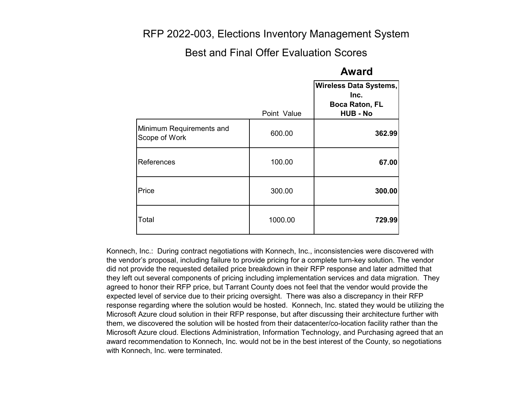### RFP 2022-003, Elections Inventory Management System

#### Best and Final Offer Evaluation Scores

#### **Award**

|                                           |             | Wireless Data Systems,<br>Inc.<br><b>Boca Raton, FL</b> |
|-------------------------------------------|-------------|---------------------------------------------------------|
|                                           | Point Value | <b>HUB - No</b>                                         |
| Minimum Requirements and<br>Scope of Work | 600.00      | 362.99                                                  |
| References                                | 100.00      | 67.00                                                   |
| Price                                     | 300.00      | 300.00                                                  |
| Total                                     | 1000.00     | 729.99                                                  |

Konnech, Inc.: During contract negotiations with Konnech, Inc., inconsistencies were discovered with the vendor's proposal, including failure to provide pricing for a complete turn-key solution. The vendor did not provide the requested detailed price breakdown in their RFP response and later admitted that they left out several components of pricing including implementation services and data migration. They agreed to honor their RFP price, but Tarrant County does not feel that the vendor would provide the expected level of service due to their pricing oversight. There was also a discrepancy in their RFP response regarding where the solution would be hosted. Konnech, Inc. stated they would be utilizing the Microsoft Azure cloud solution in their RFP response, but after discussing their architecture further with them, we discovered the solution will be hosted from their datacenter/co-location facility rather than the Microsoft Azure cloud. Elections Administration, Information Technology, and Purchasing agreed that an award recommendation to Konnech, Inc. would not be in the best interest of the County, so negotiations with Konnech, Inc. were terminated.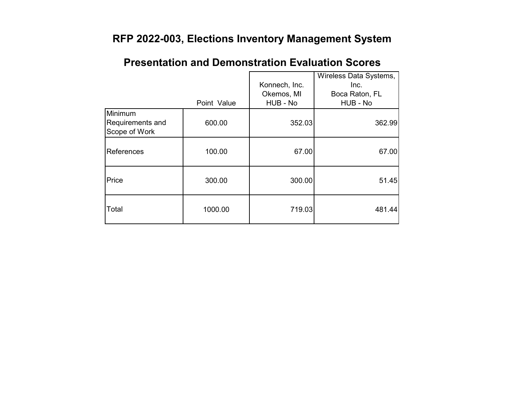# **RFP 2022-003, Elections Inventory Management System**

|                                              |             | Konnech, Inc.          | Wireless Data Systems,<br>Inc. |
|----------------------------------------------|-------------|------------------------|--------------------------------|
|                                              | Point Value | Okemos, MI<br>HUB - No | Boca Raton, FL<br>HUB - No     |
| Minimum<br>Requirements and<br>Scope of Work | 600.00      | 352.03                 | 362.99                         |
| References                                   | 100.00      | 67.00                  | 67.00                          |
| Price                                        | 300.00      | 300.00                 | 51.45                          |
| Total                                        | 1000.00     | 719.03                 | 481.44                         |

# **Presentation and Demonstration Evaluation Scores**